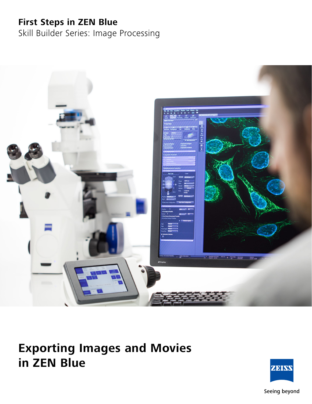# **First Steps in ZEN Blue**

Skill Builder Series: Image Processing



# **Exporting Images and Movies in ZEN Blue**



Seeing beyond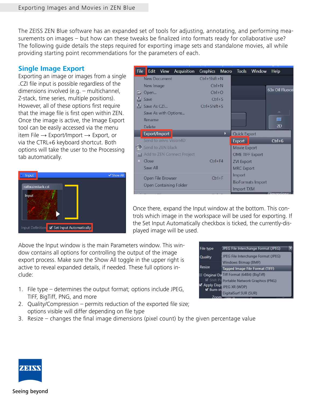The ZEISS ZEN Blue software has an expanded set of tools for adjusting, annotating, and performing measurements on images – but how can these tweaks be finalized into formats ready for collaborative use? The following guide details the steps required for exporting image sets and standalone movies, all while providing starting point recommendations for the parameters of each.

## **Single Image Export**

Exporting an image or images from a single .CZI file input is possible regardless of the dimensions involved (e.g. – multichannel, Z-stack, time series, multiple positions). However, all of these options first require that the image file is first open within ZEN. Once the image is active, the Image Export tool can be easily accessed via the menu item File  $\rightarrow$  Export/Import  $\rightarrow$  Export, or via the CTRL+6 keyboard shortcut. Both options will take the user to the Processing tab automatically.



| <b>File</b>                                                                                                                                                                                                                          | Edit                                        | <b>View</b> | Acquisition                | Graphics           | Macro |                        | Tools Window             | Help            |
|--------------------------------------------------------------------------------------------------------------------------------------------------------------------------------------------------------------------------------------|---------------------------------------------|-------------|----------------------------|--------------------|-------|------------------------|--------------------------|-----------------|
|                                                                                                                                                                                                                                      | <b>New Document</b>                         |             |                            | $Ctrl + Shift + N$ |       |                        |                          |                 |
|                                                                                                                                                                                                                                      | New Image                                   |             |                            | $Ctrl + N$         |       |                        |                          |                 |
|                                                                                                                                                                                                                                      | C Open                                      |             |                            | $Ctrl + O$         |       |                        |                          | 63x Oil Fluocel |
|                                                                                                                                                                                                                                      | <b>El</b> Save                              |             |                            | $Ctrl + S$         |       |                        |                          |                 |
|                                                                                                                                                                                                                                      | <b>HI</b> Save As CZI                       |             |                            | $Ctrl + Shift + S$ |       |                        |                          |                 |
|                                                                                                                                                                                                                                      | Save As with Options                        |             |                            |                    |       |                        |                          | $\Delta$        |
|                                                                                                                                                                                                                                      | Rename                                      |             |                            |                    |       |                        |                          | <b>COL</b>      |
|                                                                                                                                                                                                                                      | Delete                                      |             |                            |                    |       |                        |                          | 2D              |
|                                                                                                                                                                                                                                      | Export/Import                               |             |                            |                    | ٠     | <b>Quick Export</b>    |                          |                 |
|                                                                                                                                                                                                                                      | Send to arivis Vision4D                     |             |                            |                    |       | Export                 |                          | $Ctrl + 6$      |
| $\Leftrightarrow$                                                                                                                                                                                                                    | Send to ZEN black                           |             |                            |                    |       | Movie Export           |                          |                 |
|                                                                                                                                                                                                                                      |                                             |             | Add to ZEN Connect Project |                    |       | <b>OME TIFF Export</b> |                          |                 |
| $\mathbf x$                                                                                                                                                                                                                          | Close                                       |             |                            | $Ctrl + F4$        |       | <b>ZVI Export</b>      |                          |                 |
|                                                                                                                                                                                                                                      | Save All                                    |             |                            |                    |       | <b>MRC</b> Export      |                          |                 |
|                                                                                                                                                                                                                                      | Open File Browser<br>Open Containing Folder |             |                            | $Ctrl + F$         |       | Import                 |                          |                 |
|                                                                                                                                                                                                                                      |                                             |             |                            |                    |       |                        | <b>BioFormats Import</b> |                 |
| <b>The Country of the Country of the Country of the Country of the Country of the Country of the Country of the Country of the Country of the Country of the Country of the Country of the Country of the Country of the Country</b> |                                             |             |                            |                    |       | <b>Import TXM</b>      |                          | Dimanais        |

Once there, expand the Input window at the bottom. This controls which image in the workspace will be used for exporting. If the Set Input Automatically checkbox is ticked, the currently-displayed image will be used.

Above the Input window is the main Parameters window. This window contains all options for controlling the output of the image export process. Make sure the Show All toggle in the upper right is active to reveal expanded details, if needed. These full options include:

- 1. File type determines the output format; options include JPEG, TIFF, BigTiff, PNG, and more
- 2. Quality/Compression permits reduction of the exported file size; options visible will differ depending on file type
- 3. Resize changes the final image dimensions (pixel count) by the given percentage value



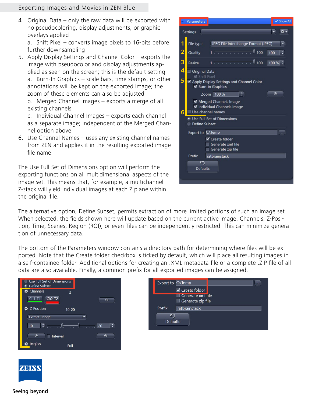#### Exporting Images and Movies in ZEN Blue

4. Original Data – only the raw data will be exported with no pseudocoloring, display adjustments, or graphic overlays applied

a. Shift Pixel – converts image pixels to 16-bits before further downsampling

5. Apply Display Settings and Channel Color – exports the image with pseudocolor and display adjustments applied as seen on the screen; this is the default setting a. Burn-In Graphics – scale bars, time stamps, or other annotations will be kept on the exported image; the zoom of these elements can also be adjusted b. Merged Channel Images – exports a merge of all existing channels

c. Individual Channel Images – exports each channel as a separate image; independent of the Merged Channel option above

6. Use Channel Names – uses any existing channel names from ZEN and applies it in the resulting exported image file name

The Use Full Set of Dimensions option will perform the exporting functions on all multidimensional aspects of the image set. This means that, for example, a multichannel Z-stack will yield individual images at each Z plane within the original file.



The alternative option, Define Subset, permits extraction of more limited portions of such an image set. When selected, the fields shown here will update based on the current active image. Channels, Z-Position, Time, Scenes, Region (ROI), or even Tiles can be independently restricted. This can minimize generation of unnecessary data.

The bottom of the Parameters window contains a directory path for determining where files will be exported. Note that the Create folder checkbox is ticked by default, which will place all resulting images in a self-contained folder. Additional options for creating an .XML metadata file or a complete .ZIP file of all data are also available. Finally, a common prefix for all exported images can be assigned.







Seeing beyond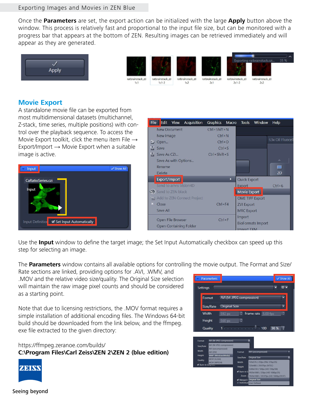#### Exporting Images and Movies in ZEN Blue

Once the **Parameters** are set, the export action can be initialized with the large **Apply** button above the window. This process is relatively fast and proportional to the input file size, but can be monitored with a progress bar that appears at the bottom of ZEN. Resulting images can be retrieved immediately and will appear as they are generated.



## **Movie Export**

A standalone movie file can be exported from most multidimensional datasets (multichannel, Z-stack, time series, multiple positions) with control over the playback sequence. To access the Movie Export toolkit, click the menu item File  $\rightarrow$ Export/Import  $\rightarrow$  Movie Export when a suitable image is active.



| <b>File</b>   |                                             | Edit View | Acquisition | Graphics           | Macro | <b>Tools</b>           | Window                   | Help             |
|---------------|---------------------------------------------|-----------|-------------|--------------------|-------|------------------------|--------------------------|------------------|
|               | New Document                                |           |             | $Ctrl + Shift + N$ |       |                        |                          |                  |
|               | New Image                                   |           |             | $Ctrl + N$         |       |                        |                          |                  |
|               | $\Box$ Open                                 |           |             | $Ctrl + O$         |       |                        |                          | 63x Oil Fluocell |
| H             | Save                                        |           |             | $Ctrl + S$         |       |                        |                          |                  |
| 昌             | Save As CZL                                 |           |             | $Ctrl + Shift + S$ |       |                        |                          |                  |
|               | Save As with Options                        |           |             |                    |       |                        |                          | $\Delta$         |
|               | Rename                                      |           |             |                    |       |                        |                          | m                |
|               | <b>Delete</b>                               |           |             |                    |       |                        |                          | 2D               |
|               | Export/Import                               |           |             |                    | ٠     | <b>Quick Export</b>    |                          |                  |
|               | Send to arivis Vision4D                     |           |             |                    |       | Export                 |                          | $Ctrl + 6$       |
| $\Rightarrow$ | Send to ZEN black                           |           |             |                    |       | Movie Export           |                          |                  |
|               | Add to ZEN Connect Project                  |           |             |                    |       | <b>OME TIFF Export</b> |                          |                  |
| ×             | Close                                       |           |             | $Ctrl + F4$        |       | <b>ZVI Export</b>      |                          |                  |
|               | Save All                                    |           |             |                    |       | <b>MRC Export</b>      |                          |                  |
|               | Open File Browser<br>Open Containing Folder |           |             | $Ctrl + F$         |       | Import                 |                          |                  |
|               |                                             |           |             |                    |       |                        | <b>BioFormats Import</b> |                  |
|               |                                             |           |             |                    |       | Import TYM             |                          |                  |

Use the **Input** window to define the target image; the Set Input Automatically checkbox can speed up this step for selecting an image.

The **Parameters** window contains all available options for controlling the movie output. The Format and Size/

Rate sections are linked, providing options for .AVI, .WMV, and .MOV and the relative video size/quality. The Original Size selection will maintain the raw image pixel counts and should be considered as a starting point.

Note that due to licensing restrictions, the .MOV format requires a simple installation of additional encoding files. The Windows 64-bit build should be downloaded from the link below, and the ffmpeg. exe file extracted to the given directory:

https://ffmpeg.zeranoe.com/builds/ **C:\Program Files\Carl Zeiss\ZEN 2\ZEN 2 (blue edition)**







Quality

#### Seeing beyond